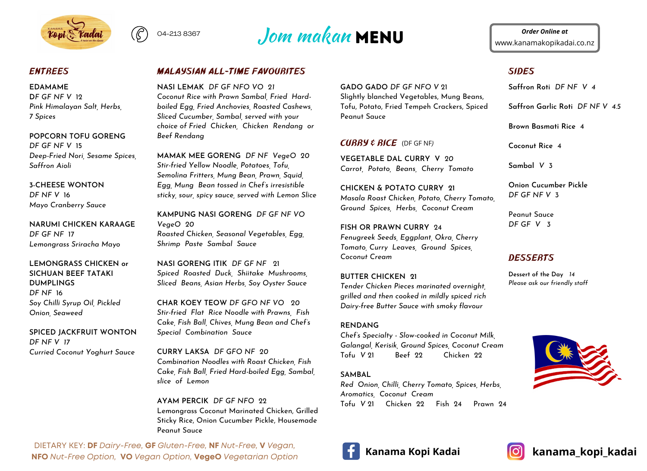



## *ENTREES*

#### **EDAMAME**

**D***F GF NF V* 12 *Pink Himalayan Salt, Herbs, 7 Spices*

**POPCORN TOFU GORENG** *DF GF NF V* 15 *Deep-Fried Nori, Sesame Spices, Saffron Aioli*

**3-CHEESE WONTON** *DF NF V* 16 *Mayo Cranberry Sauce*

**NARUMI CHICKEN KARAAGE** *DF GF NF* 17 *Lemongrass Sriracha Mayo*

**LEMONGRASS CHICKEN or SICHUAN BEEF TATAKI DUMPLINGS** *DF NF* 16 *Soy Chilli Syrup Oil, Pickled Onion, Seaweed*

**SPICED JACKFRUIT WONTON** *DF NF V 17 Curried Coconut Yoghurt Sauce*

# *MALAYSIAN ALL-TIME FAVOURITES*

**NASI LEMAK** *DF GF NFO VO 21 Coconut Rice with Prawn Sambal, Fried Hardboiled Egg, Fried Anchovies, Roasted Cashews, Sliced Cucumber, Sambal, served with your choice of Fried Chicken, Chicken Rendang or Beef Rendang*

**MAMAK MEE GORENG** *DF NF VegeO 20 Stir-fried Yellow Noodle, Potatoes, Tofu, Semolina Fritters, Mung Bean, Prawn, Squid, Egg, Mung Bean tossed in Chef's irresistible sticky, sour, spicy sauce, served with Lemon Slice*

**KAMPUNG NASI GORENG** *DF GF NF VO VegeO 20 Roasted Chicken, Seasonal Vegetables, Egg, Shrimp Paste Sambal Sauce*

**NASI GORENG ITIK** *DF GF NF* 21 *Spiced Roasted Duck, Shiitake Mushrooms, Sliced Beans, Asian Herbs, Soy Oyster Sauce*

**CHAR KOEY TEOW** *DF GFO NF VO 20 Stir-fried Flat Rice Noodle with Prawns, Fish Cake, Fish Ball, Chives, Mung Bean and Chef's Special Combination Sauce*

**CURRY LAKSA** *DF GFO NF 20 Combination Noodles with Roast Chicken, Fish Cake, Fish Ball, Fried Hard-boiled Egg, Sambal, slice of Lemon*

#### **AYAM PERCIK** *DF GF NFO* 22

Lemongrass Coconut Marinated Chicken, Grilled Sticky Rice, Onion Cucumber Pickle, Housemade Peanut Sauce

DIETARY KEY: **DF** *Dairy-Free,* **GF** *Gluten-Free,* **NF** *Nut-Free,* **V** *Vegan,* **NFO** *Nut-Free Option,* **VO** *Vegan Option,* **VegeO** *Vegetarian Option* **GADO GADO** *DF GF NFO V* 21 Slightly blanched Vegetables, Mung Beans, Tofu, Potato, Fried Tempeh Crackers, Spiced Peanut Sauce

## *CURRY & RICE* (DF GF NF*)*

**VEGETABLE DAL CURRY V** *20 Carrot, Potato, Beans, Cherry Tomato*

**CHICKEN & POTATO CURRY 21** *Masala Roast Chicken, Potato, Cherry Tomato, Ground Spices, Herbs, Coconut Cream*

**FISH OR PRAWN CURRY** 24 *Fenugreek Seeds, Eggplant, Okra, Cherry Tomato, Curry Leaves, Ground Spices, Coconut Cream*

#### **BUTTER CHICKEN 21**

*Tender Chicken Pieces marinated overnight, grilled and then cooked in mildly spiced rich Dairy-free Butter Sauce with smoky flavour*

### **RENDANG**

*Chef's Specialty - Slow-cooked in Coconut Milk, Galangal, Kerisik, Ground Spices, Coconut Cream* Tofu *V* 21 Beef 22 Chicken 22

### **SAMBAL**

*Red Onion, Chilli, Cherry Tomato, Spices, Herbs, Aromatics, Coconut Cream* Tofu *V* 21 Chicken 22 Fish 24 Prawn 24

www.kanamakopikadai.co.nz *Order Online at*

# *SIDES*

**Saffron Roti** *DF NF V 4*

**Saffron Garlic Roti** *DF NF V 4.5*

**Brown Basmati Rice** 4

**Coconut Rice** 4

**Sambal** *V* 3

**Onion Cucumber Pickle** *DF GF NF V* 3

Peanut Sauce *DF GF V 3*

# *DESSERTS*

**Dessert of the Day** *14 Please ask our friendly staff*